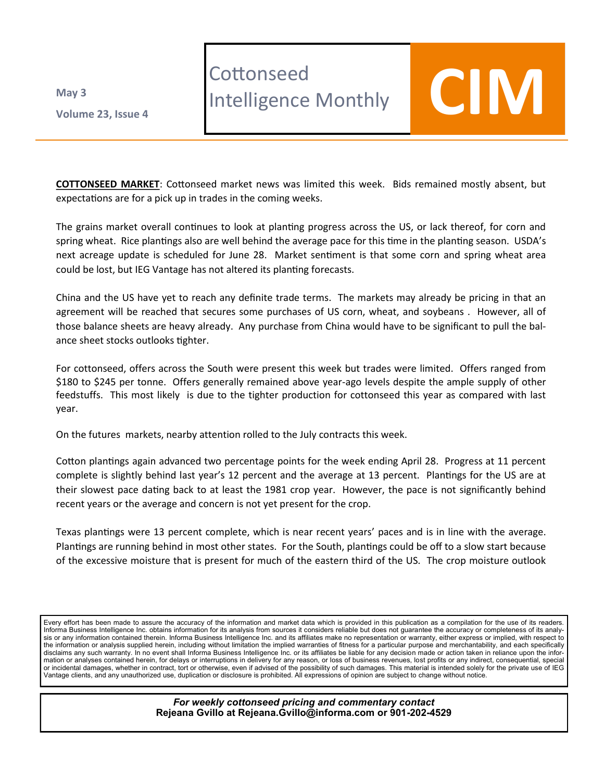**Volume 23 , Issue 4 May 3**

## **Cottonseed**

## LOTTONSeea<br>Intelligence Monthly **COIM**

**COTTONSEED MARKET**: Cottonseed market news was limited this week. Bids remained mostly absent, but expectations are for a pick up in trades in the coming weeks.

The grains market overall continues to look at planting progress across the US, or lack thereof, for corn and spring wheat. Rice plantings also are well behind the average pace for this time in the planting season. USDA's next acreage update is scheduled for June 28. Market sentiment is that some corn and spring wheat area could be lost, but IEG Vantage has not altered its planting forecasts.

China and the US have yet to reach any definite trade terms. The markets may already be pricing in that an agreement will be reached that secures some purchases of US corn, wheat, and soybeans . However, all of those balance sheets are heavy already. Any purchase from China would have to be significant to pull the balance sheet stocks outlooks tighter.

For cottonseed, offers across the South were present this week but trades were limited. Offers ranged from \$180 to \$245 per tonne. Offers generally remained above year-ago levels despite the ample supply of other feedstuffs. This most likely is due to the tighter production for cottonseed this year as compared with last year.

On the futures markets, nearby attention rolled to the July contracts this week.

Cotton plantings again advanced two percentage points for the week ending April 28. Progress at 11 percent complete is slightly behind last year's 12 percent and the average at 13 percent. Plantings for the US are at their slowest pace dating back to at least the 1981 crop year. However, the pace is not significantly behind recent years or the average and concern is not yet present for the crop.

Texas plantings were 13 percent complete, which is near recent years' paces and is in line with the average. Plantings are running behind in most other states. For the South, plantings could be off to a slow start because of the excessive moisture that is present for much of the eastern third of the US. The crop moisture outlook

Every effort has been made to assure the accuracy of the information and market data which is provided in this publication as a compilation for the use of its readers. Informa Business Intelligence Inc. obtains information for its analysis from sources it considers reliable but does not guarantee the accuracy or completeness of its analysis or any information contained therein. Informa Business Intelligence Inc. and its affiliates make no representation or warranty, either express or implied, with respect to the information or analysis supplied herein, including without limitation the implied warranties of fitness for a particular purpose and merchantability, and each specifically disclaims any such warranty. In no event shall Informa Business Intelligence Inc. or its affiliates be liable for any decision made or action taken in reliance upon the information or analyses contained herein, for delays or interruptions in delivery for any reason, or loss of business revenues, lost profits or any indirect, consequential, special or incidental damages, whether in contract, tort or otherwise, even if advised of the possibility of such damages. This material is intended solely for the private use of IEG Vantage clients, and any unauthorized use, duplication or disclosure is prohibited. All expressions of opinion are subject to change without notice.

> *For weekly cottonseed pricing and commentary contact* **Rejeana Gvillo at Rejeana.Gvillo@informa.com or 901-202-4529**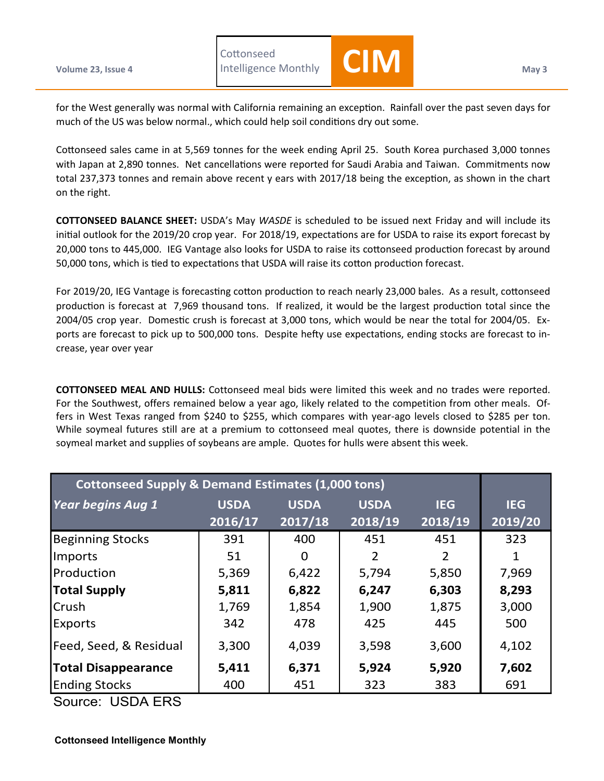**Cottonseed** 



for the West generally was normal with California remaining an exception. Rainfall over the past seven days for much of the US was below normal., which could help soil conditions dry out some.

Cottonseed sales came in at 5,569 tonnes for the week ending April 25. South Korea purchased 3,000 tonnes with Japan at 2,890 tonnes. Net cancellations were reported for Saudi Arabia and Taiwan. Commitments now total 237,373 tonnes and remain above recent y ears with 2017/18 being the exception, as shown in the chart on the right.

**COTTONSEED BALANCE SHEET:** USDA's May *WASDE* is scheduled to be issued next Friday and will include its initial outlook for the 2019/20 crop year. For 2018/19, expectations are for USDA to raise its export forecast by 20,000 tons to 445,000. IEG Vantage also looks for USDA to raise its cottonseed production forecast by around 50,000 tons, which is tied to expectations that USDA will raise its cotton production forecast.

For 2019/20, IEG Vantage is forecasting cotton production to reach nearly 23,000 bales. As a result, cottonseed production is forecast at 7,969 thousand tons. If realized, it would be the largest production total since the 2004/05 crop year. Domestic crush is forecast at 3,000 tons, which would be near the total for 2004/05. Exports are forecast to pick up to 500,000 tons. Despite hefty use expectations, ending stocks are forecast to increase, year over year

**COTTONSEED MEAL AND HULLS:** Cottonseed meal bids were limited this week and no trades were reported. For the Southwest, offers remained below a year ago, likely related to the competition from other meals. Offers in West Texas ranged from \$240 to \$255, which compares with year-ago levels closed to \$285 per ton. While soymeal futures still are at a premium to cottonseed meal quotes, there is downside potential in the soymeal market and supplies of soybeans are ample. Quotes for hulls were absent this week.

| <b>Cottonseed Supply &amp; Demand Estimates (1,000 tons)</b> |             |             |             |            |            |  |  |  |  |  |
|--------------------------------------------------------------|-------------|-------------|-------------|------------|------------|--|--|--|--|--|
| <b>Year begins Aug 1</b>                                     | <b>USDA</b> | <b>USDA</b> | <b>USDA</b> | <b>IEG</b> | <b>IEG</b> |  |  |  |  |  |
|                                                              | 2016/17     | 2017/18     | 2018/19     | 2018/19    | 2019/20    |  |  |  |  |  |
| <b>Beginning Stocks</b>                                      | 391         | 400         | 451         | 451        | 323        |  |  |  |  |  |
| Imports                                                      | 51          | 0           | 2           | 2          |            |  |  |  |  |  |
| Production                                                   | 5,369       | 6,422       | 5,794       | 5,850      | 7,969      |  |  |  |  |  |
| <b>Total Supply</b>                                          | 5,811       | 6,822       | 6,247       | 6,303      | 8,293      |  |  |  |  |  |
| Crush                                                        | 1,769       | 1,854       | 1,900       | 1,875      | 3,000      |  |  |  |  |  |
| <b>Exports</b>                                               | 342         | 478         | 425         | 445        | 500        |  |  |  |  |  |
| Feed, Seed, & Residual                                       | 3,300       | 4,039       | 3,598       | 3,600      | 4,102      |  |  |  |  |  |
| <b>Total Disappearance</b>                                   | 5,411       | 6,371       | 5,924       | 5,920      | 7,602      |  |  |  |  |  |
| <b>Ending Stocks</b>                                         | 400         | 451         | 323         | 383        | 691        |  |  |  |  |  |

Source: USDA ERS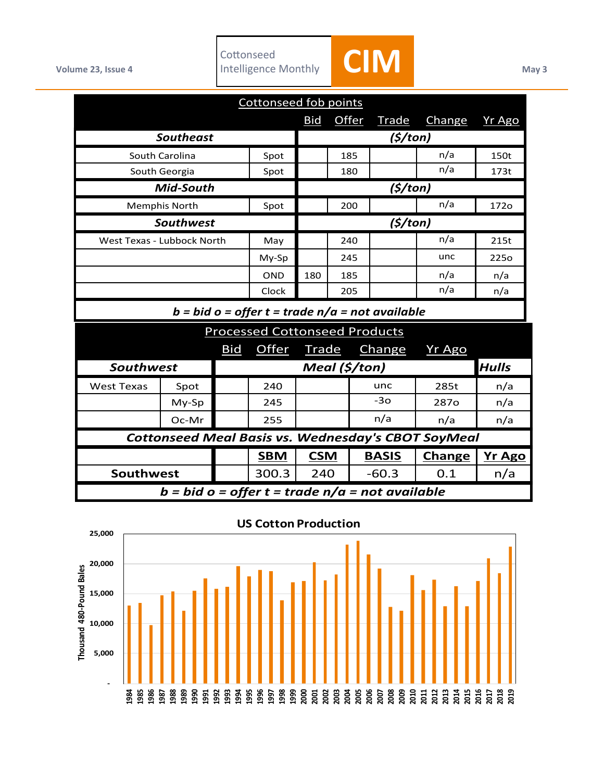

| Cottonseed fob points                                     |       |            |               |              |              |              |                  |               |  |  |  |
|-----------------------------------------------------------|-------|------------|---------------|--------------|--------------|--------------|------------------|---------------|--|--|--|
|                                                           |       |            |               | <b>Bid</b>   | <b>Offer</b> | <b>Trade</b> | Change           | Yr Ago        |  |  |  |
| <b>Southeast</b>                                          |       |            | (5/ton)       |              |              |              |                  |               |  |  |  |
| South Carolina                                            |       | Spot       |               | 185          |              | n/a          | 150t             |               |  |  |  |
| South Georgia                                             |       | Spot       |               | 180          |              | n/a          | 173t             |               |  |  |  |
| Mid-South                                                 |       |            | (5/ton)       |              |              |              |                  |               |  |  |  |
| <b>Memphis North</b>                                      |       | Spot       |               | 200          |              | n/a          | 172o             |               |  |  |  |
| <b>Southwest</b>                                          |       |            | (5/ton)       |              |              |              |                  |               |  |  |  |
| West Texas - Lubbock North                                |       | May        |               | 240          |              | n/a          | 215t             |               |  |  |  |
|                                                           |       | My-Sp      |               | 245          |              | unc          | 225 <sub>o</sub> |               |  |  |  |
|                                                           |       | <b>OND</b> | 180           | 185          |              | n/a          | n/a              |               |  |  |  |
|                                                           |       | Clock      |               | 205          |              | n/a          | n/a              |               |  |  |  |
| $b = bid o = offer t = trade n/a = not available$         |       |            |               |              |              |              |                  |               |  |  |  |
| <b>Processed Cottonseed Products</b>                      |       |            |               |              |              |              |                  |               |  |  |  |
|                                                           |       | <b>Bid</b> | <b>Offer</b>  | <b>Trade</b> |              | Change       | Yr Ago           |               |  |  |  |
| <b>Southwest</b>                                          |       |            | Meal (\$/ton) |              |              |              |                  | <b>Hulls</b>  |  |  |  |
| <b>West Texas</b>                                         | Spot  |            | 240           |              |              | unc          | 285t             | n/a           |  |  |  |
|                                                           | My-Sp |            | 245           |              |              | $-3o$        | 287 <sub>o</sub> | n/a           |  |  |  |
|                                                           | Oc-Mr |            | 255           |              |              | n/a          | n/a              | n/a           |  |  |  |
| <b>Cottonseed Meal Basis vs. Wednesday's CBOT SoyMeal</b> |       |            |               |              |              |              |                  |               |  |  |  |
|                                                           |       |            | <b>SBM</b>    | <b>CSM</b>   |              | <b>BASIS</b> | <b>Change</b>    | <b>Yr Ago</b> |  |  |  |
| Southwest                                                 |       | 300.3      | 240           |              | $-60.3$      | 0.1          | n/a              |               |  |  |  |
| $b = bid o = offer t = trade n/a = not available$         |       |            |               |              |              |              |                  |               |  |  |  |



## **US Cotton Production**